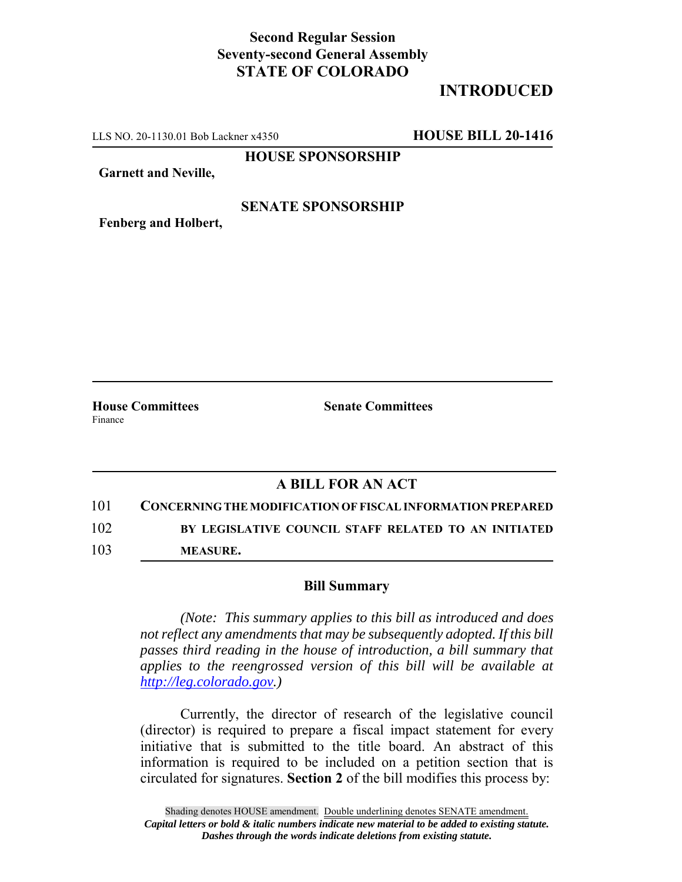## **Second Regular Session Seventy-second General Assembly STATE OF COLORADO**

## **INTRODUCED**

LLS NO. 20-1130.01 Bob Lackner x4350 **HOUSE BILL 20-1416**

**HOUSE SPONSORSHIP**

**Garnett and Neville,**

#### **SENATE SPONSORSHIP**

**Fenberg and Holbert,**

Finance

**House Committees Senate Committees** 

### **A BILL FOR AN ACT**

101 **CONCERNING THE MODIFICATION OF FISCAL INFORMATION PREPARED** 102 **BY LEGISLATIVE COUNCIL STAFF RELATED TO AN INITIATED**

103 **MEASURE.**

#### **Bill Summary**

*(Note: This summary applies to this bill as introduced and does not reflect any amendments that may be subsequently adopted. If this bill passes third reading in the house of introduction, a bill summary that applies to the reengrossed version of this bill will be available at http://leg.colorado.gov.)*

Currently, the director of research of the legislative council (director) is required to prepare a fiscal impact statement for every initiative that is submitted to the title board. An abstract of this information is required to be included on a petition section that is circulated for signatures. **Section 2** of the bill modifies this process by: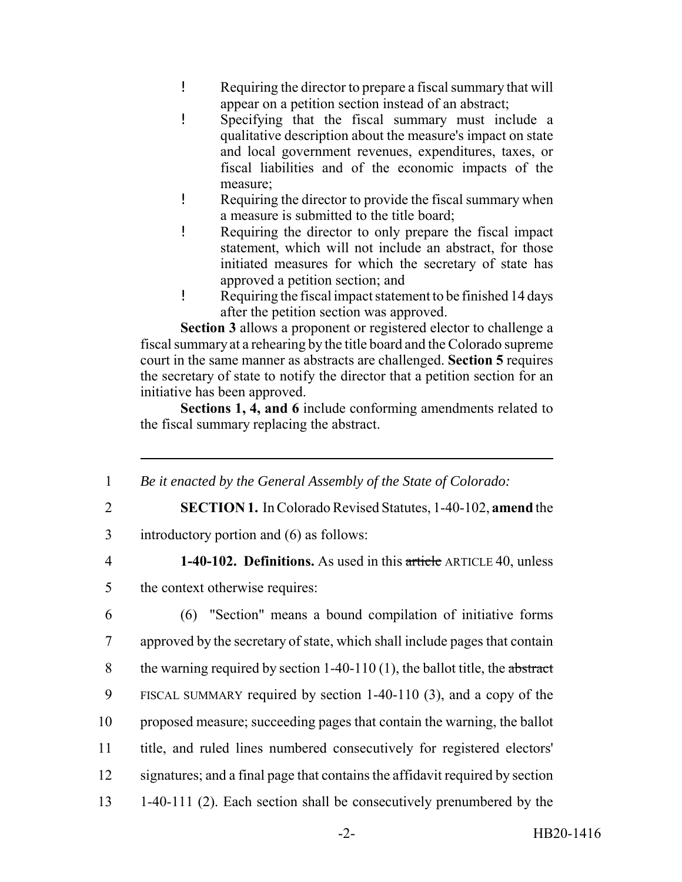- ! Requiring the director to prepare a fiscal summary that will appear on a petition section instead of an abstract;
- ! Specifying that the fiscal summary must include a qualitative description about the measure's impact on state and local government revenues, expenditures, taxes, or fiscal liabilities and of the economic impacts of the measure;
- ! Requiring the director to provide the fiscal summary when a measure is submitted to the title board;
- ! Requiring the director to only prepare the fiscal impact statement, which will not include an abstract, for those initiated measures for which the secretary of state has approved a petition section; and
- ! Requiring the fiscal impact statement to be finished 14 days after the petition section was approved.

**Section 3** allows a proponent or registered elector to challenge a fiscal summary at a rehearing by the title board and the Colorado supreme court in the same manner as abstracts are challenged. **Section 5** requires the secretary of state to notify the director that a petition section for an initiative has been approved.

**Sections 1, 4, and 6** include conforming amendments related to the fiscal summary replacing the abstract.

- 1 *Be it enacted by the General Assembly of the State of Colorado:*
- 
- 2 **SECTION 1.** In Colorado Revised Statutes, 1-40-102, **amend** the

3 introductory portion and (6) as follows:

4 **1-40-102. Definitions.** As used in this article ARTICLE 40, unless

5 the context otherwise requires:

 (6) "Section" means a bound compilation of initiative forms approved by the secretary of state, which shall include pages that contain 8 the warning required by section  $1-40-110(1)$ , the ballot title, the abstract FISCAL SUMMARY required by section 1-40-110 (3), and a copy of the proposed measure; succeeding pages that contain the warning, the ballot title, and ruled lines numbered consecutively for registered electors' signatures; and a final page that contains the affidavit required by section 1-40-111 (2). Each section shall be consecutively prenumbered by the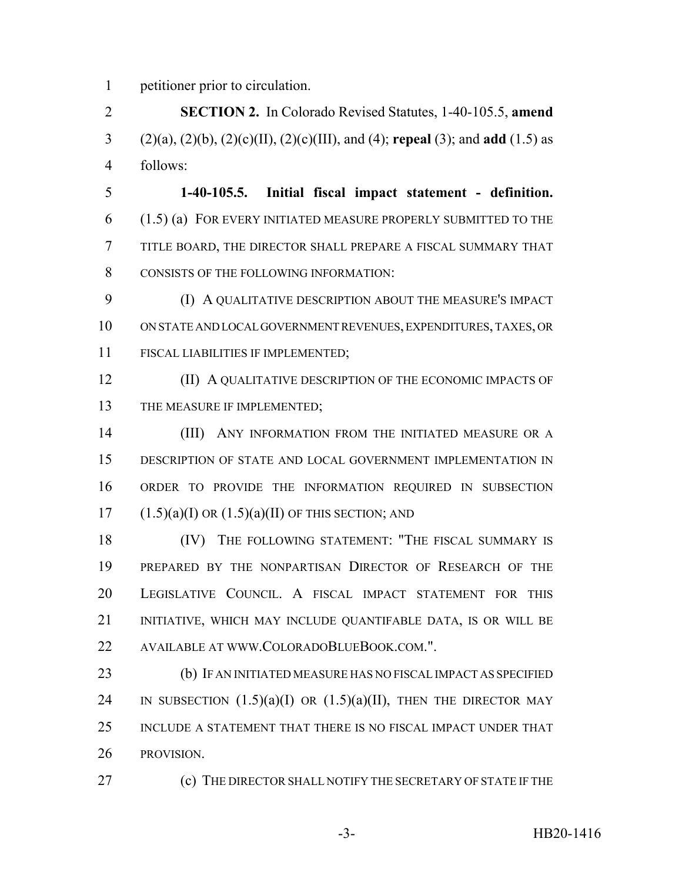petitioner prior to circulation.

 **SECTION 2.** In Colorado Revised Statutes, 1-40-105.5, **amend** (2)(a), (2)(b), (2)(c)(II), (2)(c)(III), and (4); **repeal** (3); and **add** (1.5) as follows:

 **1-40-105.5. Initial fiscal impact statement - definition.** (1.5) (a) FOR EVERY INITIATED MEASURE PROPERLY SUBMITTED TO THE TITLE BOARD, THE DIRECTOR SHALL PREPARE A FISCAL SUMMARY THAT CONSISTS OF THE FOLLOWING INFORMATION:

 (I) A QUALITATIVE DESCRIPTION ABOUT THE MEASURE'S IMPACT ON STATE AND LOCAL GOVERNMENT REVENUES, EXPENDITURES, TAXES, OR FISCAL LIABILITIES IF IMPLEMENTED;

**(II) A QUALITATIVE DESCRIPTION OF THE ECONOMIC IMPACTS OF** 13 THE MEASURE IF IMPLEMENTED;

**(III)** ANY INFORMATION FROM THE INITIATED MEASURE OR A DESCRIPTION OF STATE AND LOCAL GOVERNMENT IMPLEMENTATION IN ORDER TO PROVIDE THE INFORMATION REQUIRED IN SUBSECTION  $17 \qquad (1.5)(a)(I) \text{ OR } (1.5)(a)(II) \text{ OF THIS SECTION; AND}$ 

 (IV) THE FOLLOWING STATEMENT: "THE FISCAL SUMMARY IS PREPARED BY THE NONPARTISAN DIRECTOR OF RESEARCH OF THE LEGISLATIVE COUNCIL. A FISCAL IMPACT STATEMENT FOR THIS INITIATIVE, WHICH MAY INCLUDE QUANTIFABLE DATA, IS OR WILL BE AVAILABLE AT WWW.COLORADOBLUEBOOK.COM.".

 (b) IF AN INITIATED MEASURE HAS NO FISCAL IMPACT AS SPECIFIED 24 IN SUBSECTION  $(1.5)(a)(I)$  OR  $(1.5)(a)(II)$ , THEN THE DIRECTOR MAY INCLUDE A STATEMENT THAT THERE IS NO FISCAL IMPACT UNDER THAT PROVISION.

(c) THE DIRECTOR SHALL NOTIFY THE SECRETARY OF STATE IF THE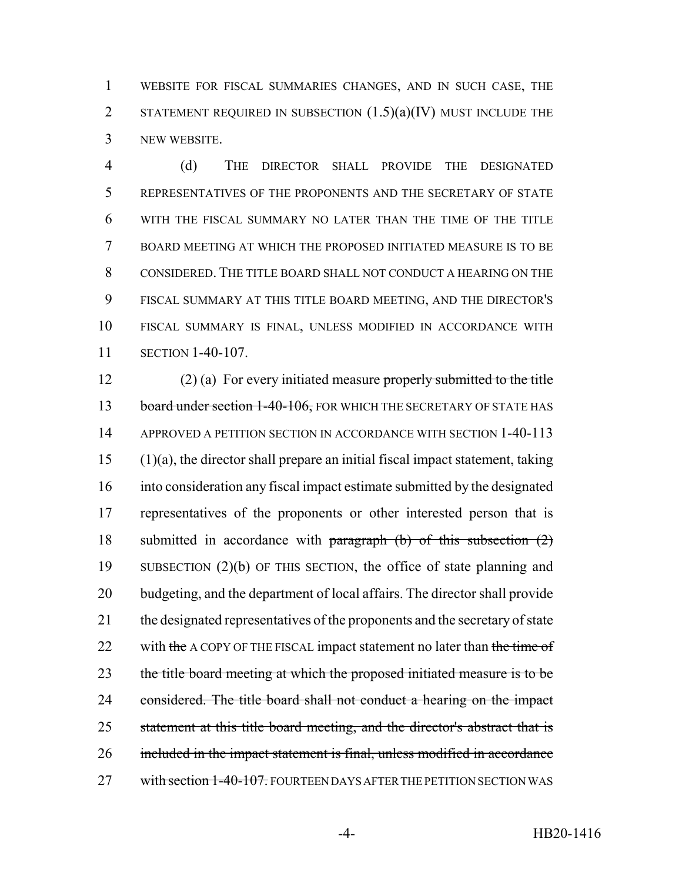WEBSITE FOR FISCAL SUMMARIES CHANGES, AND IN SUCH CASE, THE 2 STATEMENT REQUIRED IN SUBSECTION  $(1.5)(a)(IV)$  MUST INCLUDE THE NEW WEBSITE.

 (d) THE DIRECTOR SHALL PROVIDE THE DESIGNATED REPRESENTATIVES OF THE PROPONENTS AND THE SECRETARY OF STATE WITH THE FISCAL SUMMARY NO LATER THAN THE TIME OF THE TITLE BOARD MEETING AT WHICH THE PROPOSED INITIATED MEASURE IS TO BE CONSIDERED. THE TITLE BOARD SHALL NOT CONDUCT A HEARING ON THE FISCAL SUMMARY AT THIS TITLE BOARD MEETING, AND THE DIRECTOR'S FISCAL SUMMARY IS FINAL, UNLESS MODIFIED IN ACCORDANCE WITH SECTION 1-40-107.

 (2) (a) For every initiated measure properly submitted to the title 13 board under section 1-40-106, FOR WHICH THE SECRETARY OF STATE HAS APPROVED A PETITION SECTION IN ACCORDANCE WITH SECTION 1-40-113 (1)(a), the director shall prepare an initial fiscal impact statement, taking into consideration any fiscal impact estimate submitted by the designated representatives of the proponents or other interested person that is 18 submitted in accordance with paragraph (b) of this subsection (2) SUBSECTION (2)(b) OF THIS SECTION, the office of state planning and budgeting, and the department of local affairs. The director shall provide the designated representatives of the proponents and the secretary of state 22 with the A COPY OF THE FISCAL impact statement no later than the time of 23 the title board meeting at which the proposed initiated measure is to be 24 considered. The title board shall not conduct a hearing on the impact 25 statement at this title board meeting, and the director's abstract that is 26 included in the impact statement is final, unless modified in accordance 27 with section 1-40-107. FOURTEEN DAYS AFTER THE PETITION SECTION WAS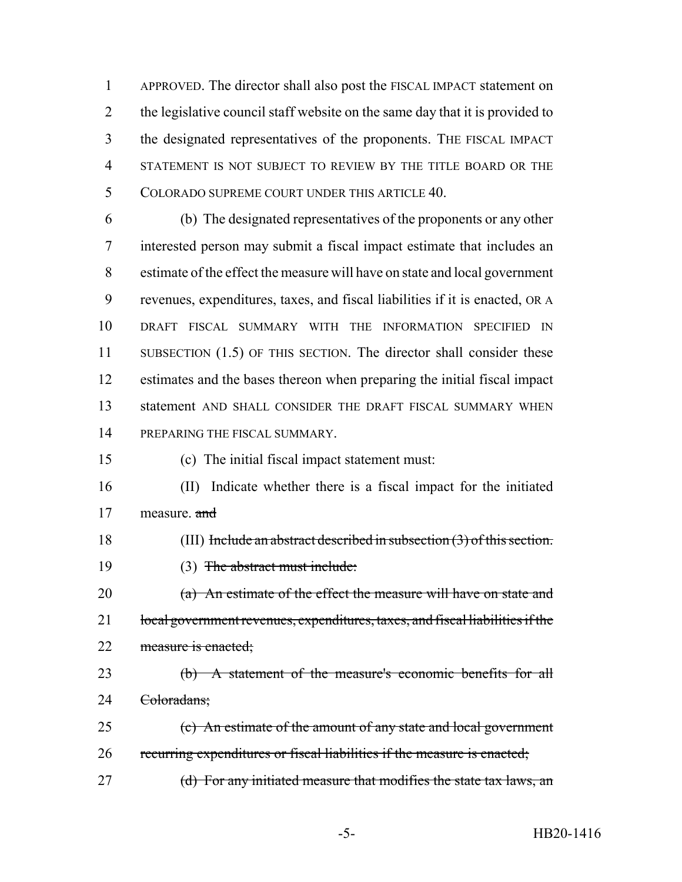APPROVED. The director shall also post the FISCAL IMPACT statement on 2 the legislative council staff website on the same day that it is provided to the designated representatives of the proponents. THE FISCAL IMPACT STATEMENT IS NOT SUBJECT TO REVIEW BY THE TITLE BOARD OR THE COLORADO SUPREME COURT UNDER THIS ARTICLE 40.

 (b) The designated representatives of the proponents or any other interested person may submit a fiscal impact estimate that includes an estimate of the effect the measure will have on state and local government revenues, expenditures, taxes, and fiscal liabilities if it is enacted, OR A DRAFT FISCAL SUMMARY WITH THE INFORMATION SPECIFIED IN 11 SUBSECTION (1.5) OF THIS SECTION. The director shall consider these estimates and the bases thereon when preparing the initial fiscal impact statement AND SHALL CONSIDER THE DRAFT FISCAL SUMMARY WHEN PREPARING THE FISCAL SUMMARY.

(c) The initial fiscal impact statement must:

 (II) Indicate whether there is a fiscal impact for the initiated 17 measure. and

(III) Include an abstract described in subsection (3) of this section.

(3) The abstract must include:

20 (a) An estimate of the effect the measure will have on state and 21 local government revenues, expenditures, taxes, and fiscal liabilities if the 22 measure is enacted;

 (b) A statement of the measure's economic benefits for all 24 <del>Coloradans:</del>

 (c) An estimate of the amount of any state and local government recurring expenditures or fiscal liabilities if the measure is enacted;

27 (d) For any initiated measure that modifies the state tax laws, an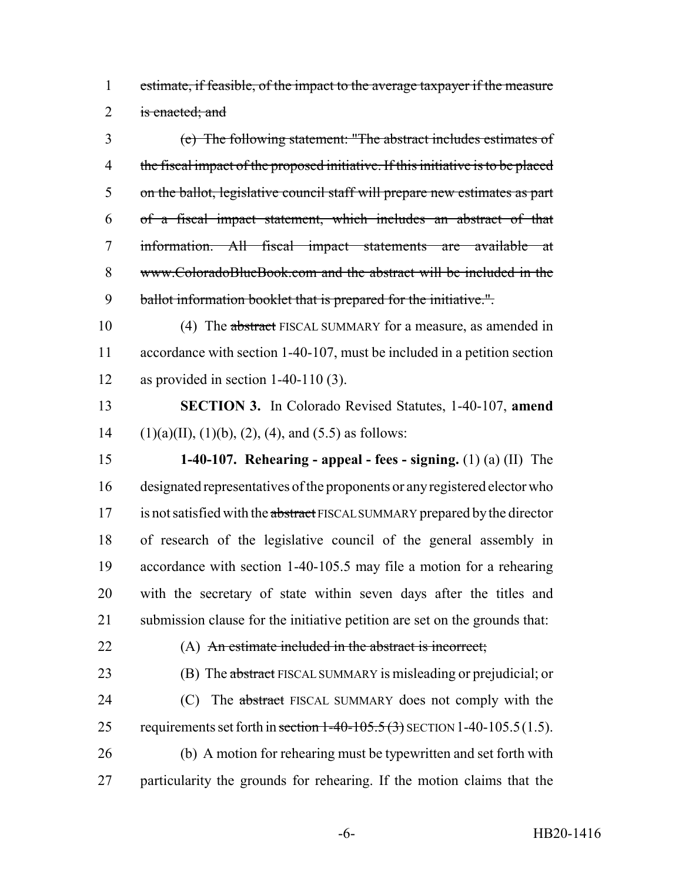estimate, if feasible, of the impact to the average taxpayer if the measure 2 is enacted; and

 (e) The following statement: "The abstract includes estimates of the fiscal impact of the proposed initiative. If this initiative is to be placed on the ballot, legislative council staff will prepare new estimates as part of a fiscal impact statement, which includes an abstract of that information. All fiscal impact statements are available at www.ColoradoBlueBook.com and the abstract will be included in the 9 ballot information booklet that is prepared for the initiative.".

10 (4) The abstract FISCAL SUMMARY for a measure, as amended in accordance with section 1-40-107, must be included in a petition section as provided in section 1-40-110 (3).

 **SECTION 3.** In Colorado Revised Statutes, 1-40-107, **amend** 14 (1)(a)(II), (1)(b), (2), (4), and (5.5) as follows:

 **1-40-107. Rehearing - appeal - fees - signing.** (1) (a) (II) The designated representatives of the proponents or any registered elector who 17 is not satisfied with the abstract FISCAL SUMMARY prepared by the director of research of the legislative council of the general assembly in accordance with section 1-40-105.5 may file a motion for a rehearing with the secretary of state within seven days after the titles and submission clause for the initiative petition are set on the grounds that:

# (A) An estimate included in the abstract is incorrect;

23 (B) The abstract FISCAL SUMMARY is misleading or prejudicial; or

24 (C) The abstract FISCAL SUMMARY does not comply with the 25 requirements set forth in section  $1-40-105.5(3)$  SECTION 1-40-105.5(1.5). (b) A motion for rehearing must be typewritten and set forth with

particularity the grounds for rehearing. If the motion claims that the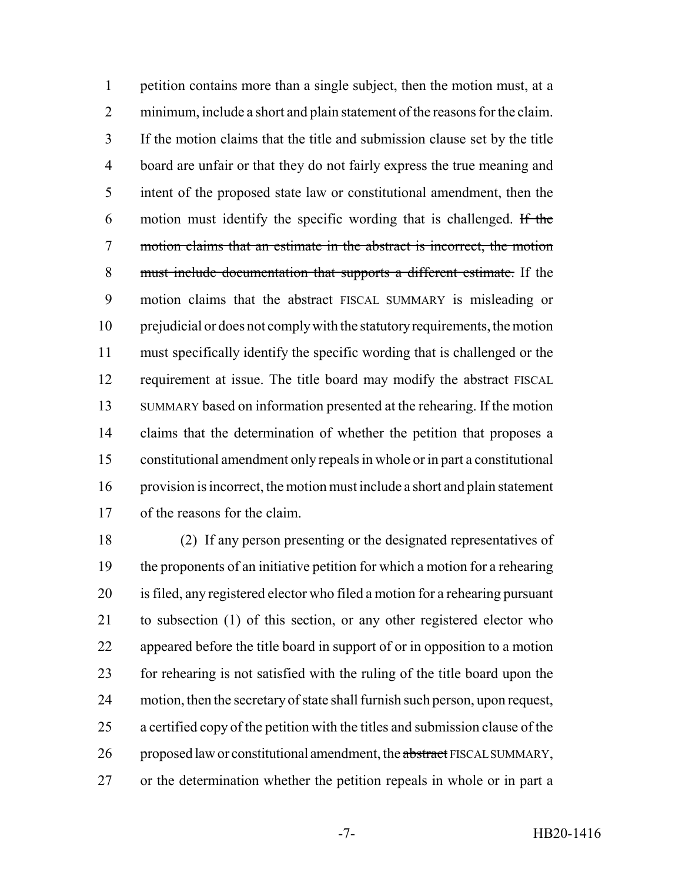petition contains more than a single subject, then the motion must, at a minimum, include a short and plain statement of the reasons for the claim. If the motion claims that the title and submission clause set by the title board are unfair or that they do not fairly express the true meaning and intent of the proposed state law or constitutional amendment, then the motion must identify the specific wording that is challenged. If the motion claims that an estimate in the abstract is incorrect, the motion must include documentation that supports a different estimate. If the 9 motion claims that the abstract FISCAL SUMMARY is misleading or prejudicial or does not comply with the statutory requirements, the motion must specifically identify the specific wording that is challenged or the 12 requirement at issue. The title board may modify the abstract FISCAL SUMMARY based on information presented at the rehearing. If the motion claims that the determination of whether the petition that proposes a constitutional amendment only repeals in whole or in part a constitutional provision is incorrect, the motion must include a short and plain statement of the reasons for the claim.

 (2) If any person presenting or the designated representatives of the proponents of an initiative petition for which a motion for a rehearing is filed, any registered elector who filed a motion for a rehearing pursuant to subsection (1) of this section, or any other registered elector who appeared before the title board in support of or in opposition to a motion for rehearing is not satisfied with the ruling of the title board upon the motion, then the secretary of state shall furnish such person, upon request, a certified copy of the petition with the titles and submission clause of the 26 proposed law or constitutional amendment, the abstract FISCAL SUMMARY, or the determination whether the petition repeals in whole or in part a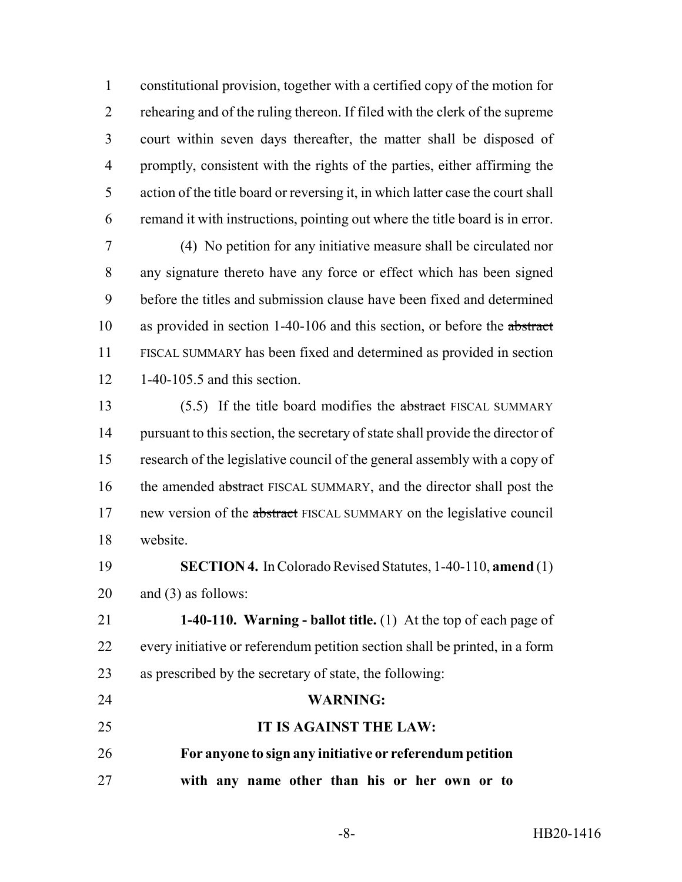constitutional provision, together with a certified copy of the motion for rehearing and of the ruling thereon. If filed with the clerk of the supreme court within seven days thereafter, the matter shall be disposed of promptly, consistent with the rights of the parties, either affirming the action of the title board or reversing it, in which latter case the court shall remand it with instructions, pointing out where the title board is in error.

 (4) No petition for any initiative measure shall be circulated nor any signature thereto have any force or effect which has been signed before the titles and submission clause have been fixed and determined 10 as provided in section 1-40-106 and this section, or before the abstract FISCAL SUMMARY has been fixed and determined as provided in section 1-40-105.5 and this section.

13 (5.5) If the title board modifies the abstract FISCAL SUMMARY pursuant to this section, the secretary of state shall provide the director of research of the legislative council of the general assembly with a copy of 16 the amended abstract FISCAL SUMMARY, and the director shall post the 17 new version of the abstract FISCAL SUMMARY on the legislative council website.

 **SECTION 4.** In Colorado Revised Statutes, 1-40-110, **amend** (1) and (3) as follows:

 **1-40-110. Warning - ballot title.** (1) At the top of each page of every initiative or referendum petition section shall be printed, in a form as prescribed by the secretary of state, the following:

# **WARNING:**

 **IT IS AGAINST THE LAW: For anyone to sign any initiative or referendum petition**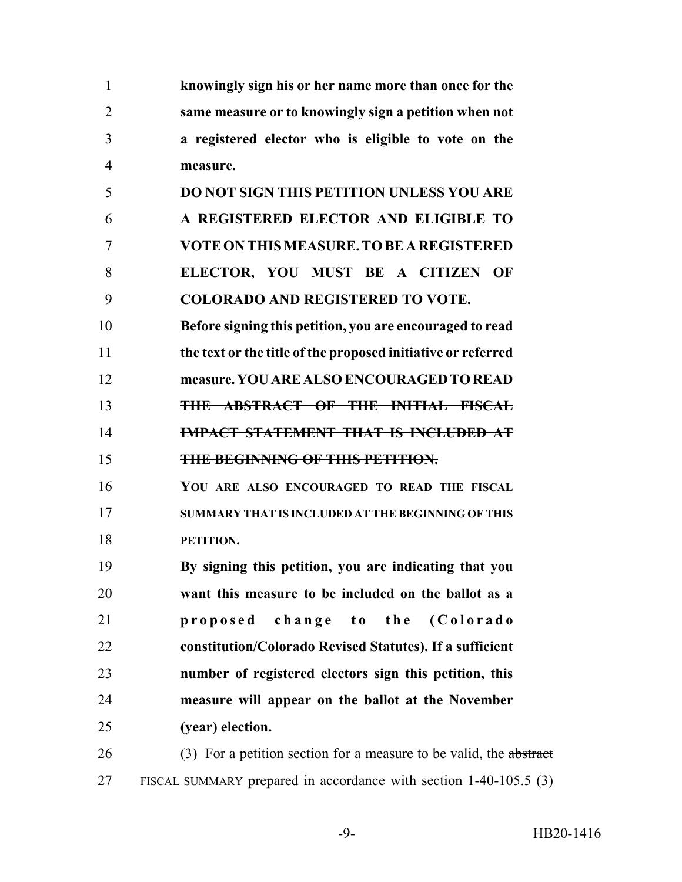| 1              | knowingly sign his or her name more than once for the               |
|----------------|---------------------------------------------------------------------|
| $\overline{2}$ | same measure or to knowingly sign a petition when not               |
| 3              | a registered elector who is eligible to vote on the                 |
| 4              | measure.                                                            |
| 5              | <b>DO NOT SIGN THIS PETITION UNLESS YOU ARE</b>                     |
| 6              | A REGISTERED ELECTOR AND ELIGIBLE TO                                |
| 7              | <b>VOTE ON THIS MEASURE. TO BE A REGISTERED</b>                     |
| 8              | ELECTOR, YOU MUST BE A CITIZEN OF                                   |
| 9              | <b>COLORADO AND REGISTERED TO VOTE.</b>                             |
| 10             | Before signing this petition, you are encouraged to read            |
| 11             | the text or the title of the proposed initiative or referred        |
| 12             | measure. YOU ARE ALSO ENCOURAGED TO READ                            |
| 13             | <b>THE ABSTRACT OF THE INITIAL FISCAL</b>                           |
| 14             | <b>IMPACT STATEMENT THAT IS INCLUDED AT</b>                         |
| 15             | THE BEGINNING OF THIS PETITION.                                     |
| 16             | YOU ARE ALSO ENCOURAGED TO READ THE FISCAL                          |
| 17             | SUMMARY THAT IS INCLUDED AT THE BEGINNING OF THIS                   |
| 18             | PETITION.                                                           |
| 19             | By signing this petition, you are indicating that you               |
| 20             | want this measure to be included on the ballot as a                 |
| 21             | change to the (Colorado<br>proposed                                 |
| 22             | constitution/Colorado Revised Statutes). If a sufficient            |
| 23             | number of registered electors sign this petition, this              |
| 24             | measure will appear on the ballot at the November                   |
| 25             | (year) election.                                                    |
| 26             | (3) For a petition section for a measure to be valid, the abstract  |
| 27             | FISCAL SUMMARY prepared in accordance with section 1-40-105.5 $(3)$ |